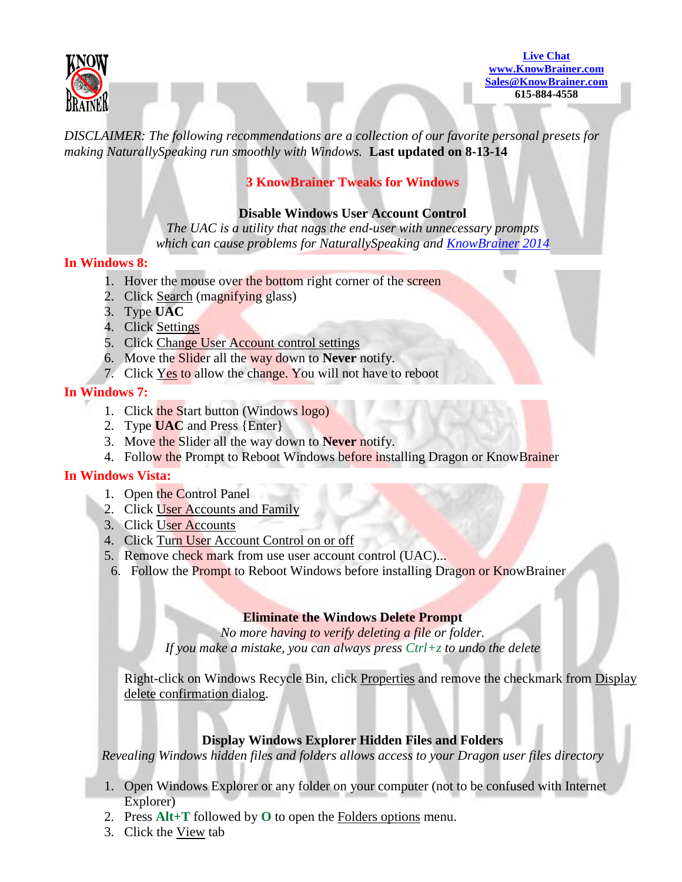

**[Live Chat](http://messenger.providesupport.com/messenger/knowbrainer.html) [www.KnowBrainer.com](http://www.knowbrainer.com/) [Sales@KnowBrainer.com](mailto:Support@KnowBrainer.com) 615-884-4558**

*DISCLAIMER: The following recommendations are a collection of our favorite personal presets for making NaturallySpeaking run smoothly with Windows.* **Last updated on 8-13-14**

# **3 KnowBrainer Tweaks for Windows**

## **Disable Windows User Account Control**

*The UAC is a utility that nags the end-user with unnecessary prompts which can cause problems for NaturallySpeaking and [KnowBrainer 2014](http://www.knowbrainer.com/NewStore/pc/viewPrd.asp?idproduct=506)*

### **In Windows 8:**

- 1. Hover the mouse over the bottom right corner of the screen
- 2. Click Search (magnifying glass)
- 3. Type **UAC**
- 4. Click Settings
- 5. Click Change User Account control settings
- 6. Move the Slider all the way down to **Never** notify.
- 7. Click Yes to allow the change. You will not have to reboot

## **In Windows 7:**

- 1. Click the Start button (Windows logo)
- 2. Type **UAC** and Press {Enter}
- 3. Move the Slider all the way down to **Never** notify.
- 4. Follow the Prompt to Reboot Windows before installing Dragon or KnowBrainer

### **In Windows Vista:**

- 1. Open the Control Panel
- 2. Click User Accounts and Family
- 3. Click User Accounts
- 4. Click Turn User Account Control on or off
- 5. Remove check mark from use user account control (UAC)...
- 6. Follow the Prompt to Reboot Windows before installing Dragon or KnowBrainer

### **Eliminate the Windows Delete Prompt**

*No more having to verify deleting a file or folder. If you make a mistake, you can always press Ctrl+z to undo the delete*

Right-click on Windows Recycle Bin, click Properties and remove the checkmark from Display delete confirmation dialog.

## **Display Windows Explorer Hidden Files and Folders**

*Revealing Windows hidden files and folders allows access to your Dragon user files directory*

- 1. Open Windows Explorer or any folder on your computer (not to be confused with Internet Explorer)
- 2. Press **Alt+T** followed by **O** to open the Folders options menu.
- 3. Click the View tab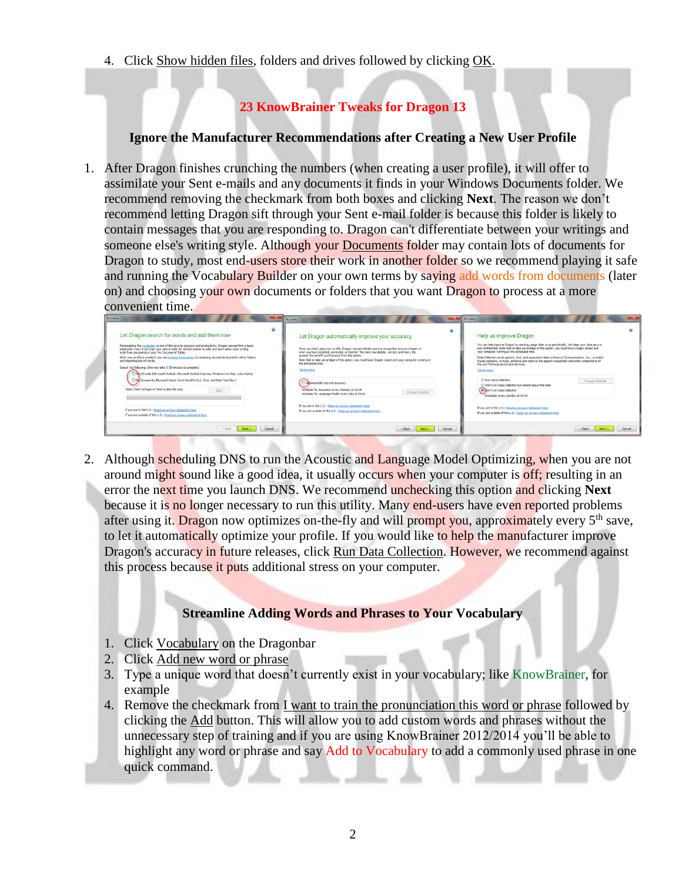4. Click Show hidden files, folders and drives followed by clicking OK.

# **23 KnowBrainer Tweaks for Dragon 13**

# **Ignore the Manufacturer Recommendations after Creating a New User Profile**

1. After Dragon finishes crunching the numbers (when creating a user profile), it will offer to assimilate your Sent e-mails and any documents it finds in your Windows Documents folder. We recommend removing the checkmark from both boxes and clicking **Next**. The reason we don't recommend letting Dragon sift through your Sent e-mail folder is because this folder is likely to contain messages that you are responding to. Dragon can't differentiate between your writings and someone else's writing style. Although your Documents folder may contain lots of documents for Dragon to study, most end-users store their work in another folder so we recommend playing it safe and running the Vocabulary Builder on your own terms by saying add words from documents (later on) and choosing your own documents or folders that you want Dragon to process at a more convenient time.

| Let Dragon search for words and add them now<br>Personalizing the vocabulary is one of the keys to accuracy and productivity. Dragon can perform a basic<br>adaptation now: it can scan your sent e-mails for contact names to add, and learn about your writing<br>style from documents in your 'My Documents' folder.<br>After your profile is created, you can increase its accuracy by analyzing documents located in other folders<br>and importing lists of words.<br>Search the following: (this may take 5-30 minutes to complete)<br>Sent E-mails (Mcrosoft Outlook, Microsoft Outlook Express, Windows Live Mail, Lotus Notes)<br>My Documents (Microsoft Word, Corel WordPerfect, Text, and Rich Text Files )<br>Select Start to begin or Next to skip this step<br>Start<br>If you are in the U.S.: Read our privacy statement here.<br>If you are outside of the U.S.: Read our privacy statement here | Let Dragon automatically improve your accuracy<br>Once you start using your profile, Dragon can periodically improve recognition accuracy based on<br>what you have dictated, corrected, or trained. The more you dictate, correct, and train, the<br>greater the benefit you'll receive from this option.<br>Note that to take advantage of this option, you must have Dragon dosed and your computer running at<br>the scheduled time.<br>Tell me more<br><b>TI Altomatically improve accuracy</b><br>Schedule for Acoustics: every Monday at 02:00<br>Change Schedule<br>Schedule for Language Model: every day at 03:00<br>If you are in the U.S.: Read our privacy statement here<br>If you are outside of the U.S.: Read our privacy statement here | Help us improve Dragon<br>You can help improve Dragon by sending usage data to us periodically. We keep your data secure<br>and confidential. Note that to take advantage of this option, you must have Dragon closed and<br>your computer running at the scheduled time.<br>Data Collection sends speech, text, and associated data to Nuance Communications, Inc., a United<br>States company, to tune, enhance and improve the speech recognition and other components of<br>this and future products and services.<br>Tell me more<br>Run Data Collection<br>Change Schedule<br>Don't run Data Colection but remind about this later<br>Don't run Data Collection<br>Schedule: every Sunday at 04:40<br>If you are in the U.S.: Read our privacy statement here<br>If you are outside of the U.S.: Read our orhitery statement here |
|---------------------------------------------------------------------------------------------------------------------------------------------------------------------------------------------------------------------------------------------------------------------------------------------------------------------------------------------------------------------------------------------------------------------------------------------------------------------------------------------------------------------------------------------------------------------------------------------------------------------------------------------------------------------------------------------------------------------------------------------------------------------------------------------------------------------------------------------------------------------------------------------------------------------|-----------------------------------------------------------------------------------------------------------------------------------------------------------------------------------------------------------------------------------------------------------------------------------------------------------------------------------------------------------------------------------------------------------------------------------------------------------------------------------------------------------------------------------------------------------------------------------------------------------------------------------------------------------------------------------------------------------------------------------------------------------|-----------------------------------------------------------------------------------------------------------------------------------------------------------------------------------------------------------------------------------------------------------------------------------------------------------------------------------------------------------------------------------------------------------------------------------------------------------------------------------------------------------------------------------------------------------------------------------------------------------------------------------------------------------------------------------------------------------------------------------------------------------------------------------------------------------------------------------------|
| Cancel<br>Next ><br>$<$ Fack                                                                                                                                                                                                                                                                                                                                                                                                                                                                                                                                                                                                                                                                                                                                                                                                                                                                                        | Next ><br>$<$ Back                                                                                                                                                                                                                                                                                                                                                                                                                                                                                                                                                                                                                                                                                                                                        | Cancel<br>Cancel<br>Next ><br>$<$ Back                                                                                                                                                                                                                                                                                                                                                                                                                                                                                                                                                                                                                                                                                                                                                                                                  |

2. Although scheduling DNS to run the Acoustic and Language Model Optimizing, when you are not around might sound like a good idea, it usually occurs when your computer is off; resulting in an error the next time you launch DNS. We recommend unchecking this option and clicking **Next** because it is no longer necessary to run this utility. Many end-users have even reported problems after using it. Dragon now optimizes on-the-fly and will prompt you, approximately every 5<sup>th</sup> save, to let it automatically optimize your profile. If you would like to help the manufacturer improve Dragon's accuracy in future releases, click Run Data Collection. However, we recommend against this process because it puts additional stress on your computer.

# **Streamline Adding Words and Phrases to Your Vocabulary**

- 1. Click Vocabulary on the Dragonbar
- 2. Click Add new word or phrase
- 3. Type a unique word that doesn't currently exist in your vocabulary; like KnowBrainer, for example
- 4. Remove the checkmark from I want to train the pronunciation this word or phrase followed by clicking the Add button. This will allow you to add custom words and phrases without the unnecessary step of training and if you are using KnowBrainer 2012/2014 you'll be able to highlight any word or phrase and say Add to Vocabulary to add a commonly used phrase in one quick command.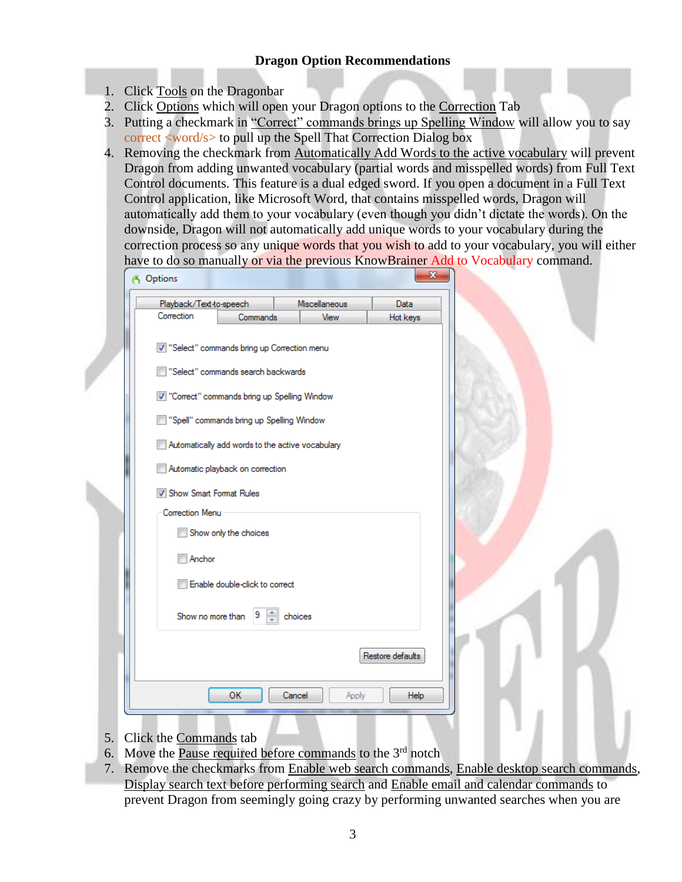# **Dragon Option Recommendations**

- 1. Click Tools on the Dragonbar
- 2. Click Options which will open your Dragon options to the Correction Tab
- 3. Putting a checkmark in "Correct" commands brings up Spelling Window will allow you to say correct <word/s> to pull up the Spell That Correction Dialog box
- 4. Removing the checkmark from Automatically Add Words to the active vocabulary will prevent Dragon from adding unwanted vocabulary (partial words and misspelled words) from Full Text Control documents. This feature is a dual edged sword. If you open a document in a Full Text Control application, like Microsoft Word, that contains misspelled words, Dragon will automatically add them to your vocabulary (even though you didn't dictate the words). On the downside, Dragon will not automatically add unique words to your vocabulary during the correction process so any unique words that you wish to add to your vocabulary, you will either have to do so manually or via the previous KnowBrainer Add to Vocabulary command.

| Playback/Text-to-speech |                                                  | Miscellaneous   | Data             |  |
|-------------------------|--------------------------------------------------|-----------------|------------------|--|
| Correction              | Commands                                         | View            | Hot keys         |  |
|                         | V "Select" commands bring up Correction menu     |                 |                  |  |
|                         | "Select" commands search backwards               |                 |                  |  |
|                         | V "Correct" commands bring up Spelling Window    |                 |                  |  |
|                         | "Spell" commands bring up Spelling Window        |                 |                  |  |
|                         | Automatically add words to the active vocabulary |                 |                  |  |
|                         | Automatic playback on correction                 |                 |                  |  |
| Show Smart Format Rules |                                                  |                 |                  |  |
| Correction Menu         |                                                  |                 |                  |  |
|                         | Show only the choices                            |                 |                  |  |
| Anchor                  |                                                  |                 |                  |  |
|                         | Enable double-click to correct                   |                 |                  |  |
|                         | Show no more than $9 \Rightarrow$                | choices         |                  |  |
|                         |                                                  |                 | Restore defaults |  |
|                         | ОК                                               | Cancel<br>Apply | Help             |  |

- 5. Click the Commands tab
- 6. Move the Pause required before commands to the  $3<sup>rd</sup>$  notch
- 7. Remove the checkmarks from Enable web search commands, Enable desktop search commands, Display search text before performing search and Enable email and calendar commands to prevent Dragon from seemingly going crazy by performing unwanted searches when you are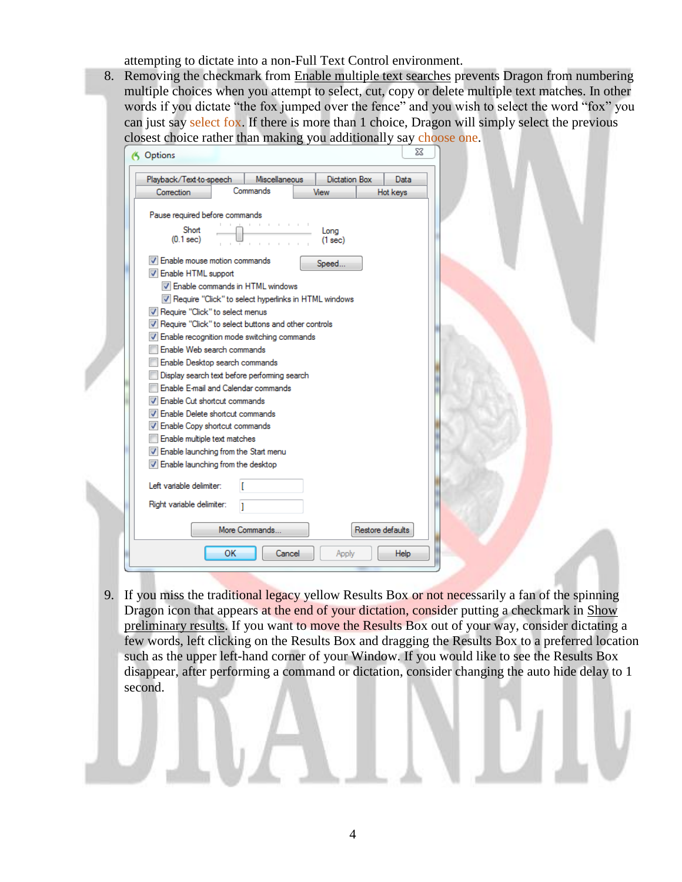attempting to dictate into a non-Full Text Control environment.

8. Removing the checkmark from Enable multiple text searches prevents Dragon from numbering multiple choices when you attempt to select, cut, copy or delete multiple text matches. In other words if you dictate "the fox jumped over the fence" and you wish to select the word "fox" you can just say select fox. If there is more than 1 choice, Dragon will simply select the previous closest choice rather than making you additionally say choose one.

| Playback/Text-to-speech                                | Miscellaneous |      | <b>Dictation Box</b> | Data             |
|--------------------------------------------------------|---------------|------|----------------------|------------------|
| Correction                                             | Commands      | View |                      | Hot keys         |
| Pause required before commands                         |               |      |                      |                  |
| Short<br>$(0.1$ sec $)$                                |               |      | Long<br>(1 sec)      |                  |
| V Enable mouse motion commands                         |               |      | Speed                |                  |
| <b>V</b> Enable HTML support                           |               |      |                      |                  |
| 7 Enable commands in HTML windows                      |               |      |                      |                  |
| V Require "Click" to select hyperlinks in HTML windows |               |      |                      |                  |
| M Require "Click" to select menus                      |               |      |                      |                  |
| V Require "Click" to select buttons and other controls |               |      |                      |                  |
| V Enable recognition mode switching commands           |               |      |                      |                  |
| Enable Web search commands                             |               |      |                      |                  |
| Enable Desktop search commands                         |               |      |                      |                  |
| Display search text before performing search           |               |      |                      |                  |
| Enable E-mail and Calendar commands                    |               |      |                      |                  |
| <b>V</b> Enable Cut shortcut commands                  |               |      |                      |                  |
| <b>V</b> Enable Delete shortcut commands               |               |      |                      |                  |
| V Enable Copy shortcut commands                        |               |      |                      |                  |
| Enable multiple text matches                           |               |      |                      |                  |
| V Enable launching from the Start menu                 |               |      |                      |                  |
| T Enable launching from the desktop                    |               |      |                      |                  |
| Left variable delimiter:                               | ſ             |      |                      |                  |
|                                                        |               |      |                      |                  |
| Right variable delimiter:                              | ı             |      |                      |                  |
|                                                        | More Commands |      |                      | Restore defaults |

9. If you miss the traditional legacy yellow Results Box or not necessarily a fan of the spinning Dragon icon that appears at the end of your dictation, consider putting a checkmark in Show preliminary results. If you want to move the Results Box out of your way, consider dictating a few words, left clicking on the Results Box and dragging the Results Box to a preferred location such as the upper left-hand corner of your Window. If you would like to see the Results Box disappear, after performing a command or dictation, consider changing the auto hide delay to 1 second.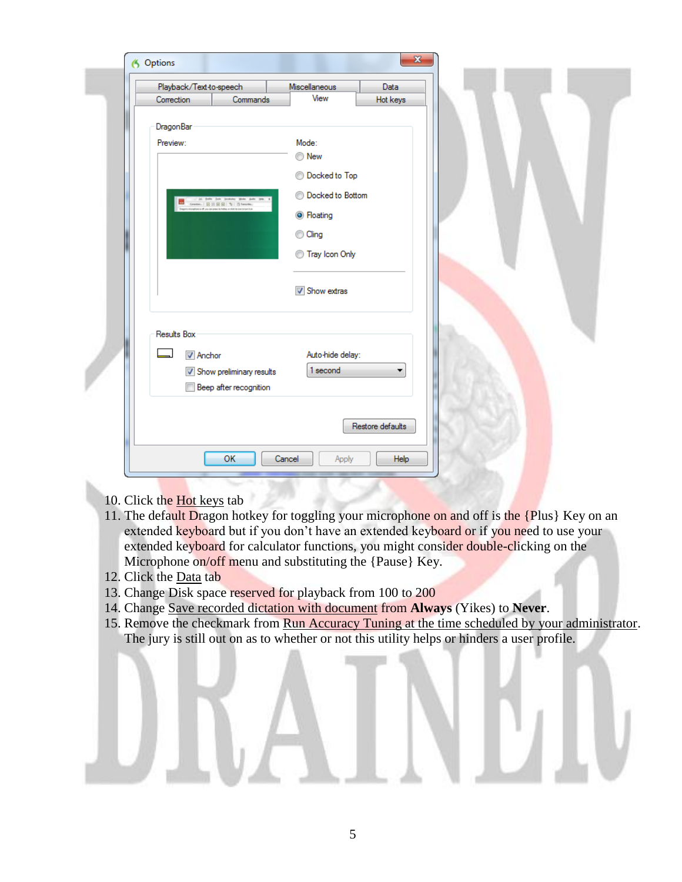| Playback/Text-to-speech    |          | Miscellaneous           | <b>Data</b>      |  |
|----------------------------|----------|-------------------------|------------------|--|
| Correction                 | Commands | View                    | Hot keys         |  |
|                            |          |                         |                  |  |
| DragonBar                  |          |                         |                  |  |
| Preview:                   |          | Mode:                   |                  |  |
|                            |          | ◯ New                   |                  |  |
|                            |          | <b>Docked to Top</b>    |                  |  |
|                            |          |                         |                  |  |
| pain (pa punto) (pa        |          | <b>Docked to Bottom</b> |                  |  |
|                            |          | <b>O</b> Floating       |                  |  |
|                            |          | C Cling                 |                  |  |
|                            |          |                         |                  |  |
|                            |          | Tray Icon Only          |                  |  |
|                            |          |                         |                  |  |
|                            |          | V Show extras           |                  |  |
|                            |          |                         |                  |  |
|                            |          |                         |                  |  |
| Results Box                |          |                         |                  |  |
| <b>V</b> Anchor            |          | Auto-hide delay:        |                  |  |
|                            |          | 1 second                |                  |  |
| V Show preliminary results |          |                         | ▼                |  |
| Beep after recognition     |          |                         |                  |  |
|                            |          |                         |                  |  |
|                            |          |                         | Restore defaults |  |
|                            |          |                         |                  |  |
|                            |          |                         |                  |  |

- 10. Click the Hot keys tab
- 11. The default Dragon hotkey for toggling your microphone on and off is the {Plus} Key on an extended keyboard but if you don't have an extended keyboard or if you need to use your extended keyboard for calculator functions, you might consider double-clicking on the Microphone on/off menu and substituting the {Pause} Key.
- 12. Click the Data tab
- 13. Change Disk space reserved for playback from 100 to 200
- 14. Change Save recorded dictation with document from **Always** (Yikes) to **Never**.
- 15. Remove the checkmark from Run Accuracy Tuning at the time scheduled by your administrator. The jury is still out on as to whether or not this utility helps or hinders a user profile.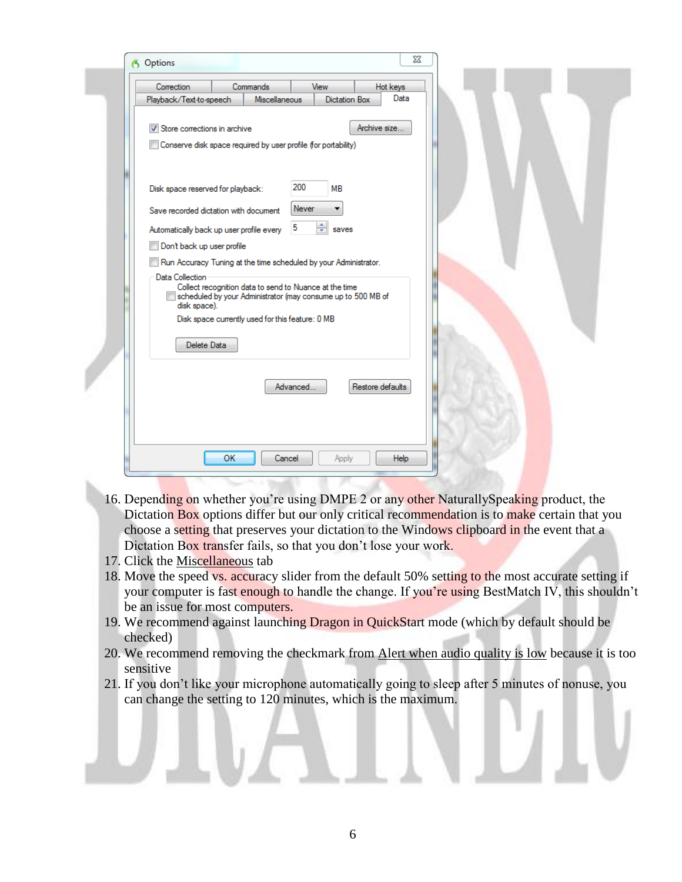| 53<br>6 Options                                                                                                                                           |
|-----------------------------------------------------------------------------------------------------------------------------------------------------------|
| <b>Correction</b><br><b>Commands</b><br>View<br>Hot keys                                                                                                  |
| Data<br>Miscellaneous<br>Playback/Text to-speech<br><b>Dictation Box</b>                                                                                  |
| Archive size<br>V Store corrections in archive<br>Conserve disk space required by user profile (for portability)                                          |
| 200<br>Disk space reserved for playback:<br>MB                                                                                                            |
| Never<br>Save recorded dictation with document                                                                                                            |
| ÷<br>5<br>Automatically back up user profile every<br>saves                                                                                               |
| Don't back up user profile                                                                                                                                |
| Run Accuracy Tuning at the time scheduled by your Administrator.                                                                                          |
| Data Collection<br>Collect recognition data to send to Nuance at the time<br>scheduled by your Administrator (may consume up to 500 MB of<br>disk space). |
| Disk space currently used for this feature: 0 MB<br>Delete Data                                                                                           |
| Restore defaults<br>Advanced                                                                                                                              |
| OK<br>Cancel<br>Apply<br>Help                                                                                                                             |

- 16. Depending on whether you're using DMPE 2 or any other NaturallySpeaking product, the Dictation Box options differ but our only critical recommendation is to make certain that you choose a setting that preserves your dictation to the Windows clipboard in the event that a Dictation Box transfer fails, so that you don't lose your work.
- 17. Click the Miscellaneous tab
- 18. Move the speed vs. accuracy slider from the default 50% setting to the most accurate setting if your computer is fast enough to handle the change. If you're using BestMatch IV, this shouldn't be an issue for most computers.
- 19. We recommend against launching Dragon in QuickStart mode (which by default should be checked)
- 20. We recommend removing the checkmark from Alert when audio quality is low because it is too sensitive
- 21. If you don't like your microphone automatically going to sleep after 5 minutes of nonuse, you can change the setting to 120 minutes, which is the maximum.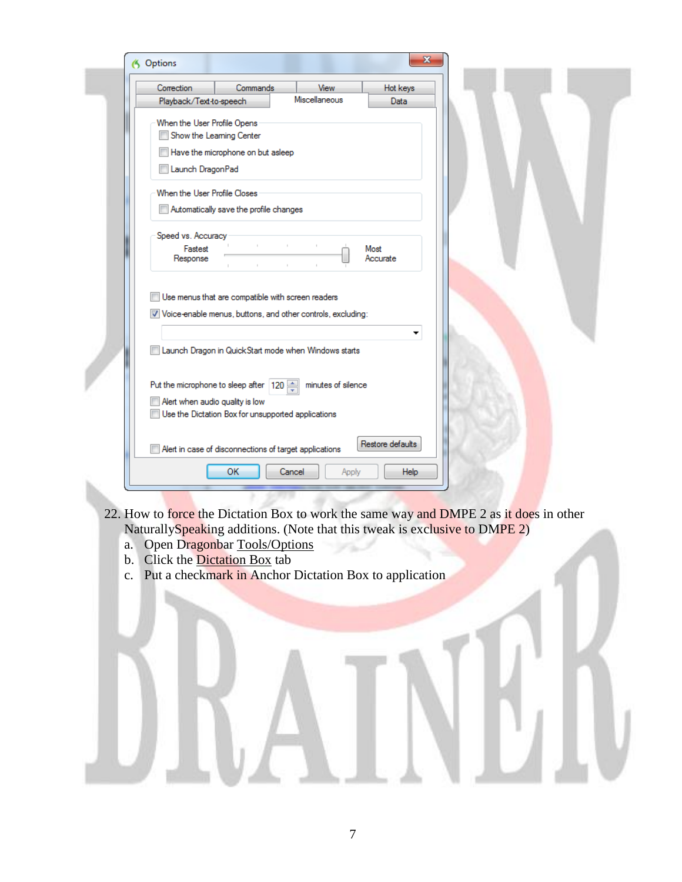

- 22. How to force the Dictation Box to work the same way and DMPE 2 as it does in other NaturallySpeaking additions. (Note that this tweak is exclusive to DMPE 2)
	- a. Open Dragonbar Tools/Options
	- b. Click the Dictation Box tab
	- c. Put a checkmark in Anchor Dictation Box to application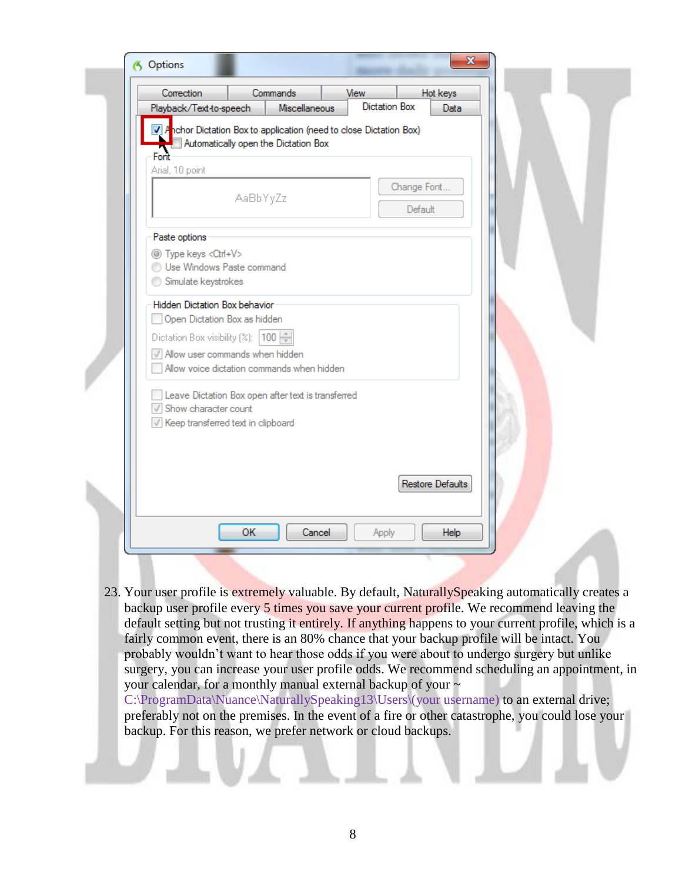| Correction<br>Playback/Text-to-speech                                                                            | Commands                             | Miscellaneous | View<br>Dictation Box |                        | Hot keys<br>Data |  |  |
|------------------------------------------------------------------------------------------------------------------|--------------------------------------|---------------|-----------------------|------------------------|------------------|--|--|
| 7 Anchor Dictation Box to application (need to close Dictation Box)                                              | Automatically open the Dictation Box |               |                       |                        |                  |  |  |
| Fort<br>Arial, 10 point                                                                                          |                                      |               |                       |                        |                  |  |  |
|                                                                                                                  | AaBbYyZz                             |               |                       | Change Font<br>Default |                  |  |  |
| Paste options                                                                                                    |                                      |               |                       |                        |                  |  |  |
| <sup>1</sup> Type keys <ctrl+v><br/>Use Windows Paste command<br/>Simulate keystrokes</ctrl+v>                   |                                      |               |                       |                        |                  |  |  |
| Hidden Dictation Box behavior<br>Open Dictation Box as hidden                                                    |                                      |               |                       |                        |                  |  |  |
| Dictation Box visibility (%): 100 -                                                                              |                                      |               |                       |                        |                  |  |  |
| Allow user commands when hidden<br>Allow voice dictation commands when hidden                                    |                                      |               |                       |                        |                  |  |  |
| Leave Dictation Box open after text is transferred<br>Show character count<br>Keep transferred text in clipboard |                                      |               |                       |                        |                  |  |  |
|                                                                                                                  |                                      |               |                       |                        |                  |  |  |
|                                                                                                                  |                                      |               |                       |                        | Restore Defaults |  |  |
|                                                                                                                  | <b>OK</b>                            | Cancel        | Apply                 |                        | Help             |  |  |

23. Your user profile is extremely valuable. By default, NaturallySpeaking automatically creates a backup user profile every 5 times you save your current profile. We recommend leaving the default setting but not trusting it entirely. If anything happens to your current profile, which is a fairly common event, there is an 80% chance that your backup profile will be intact. You probably wouldn't want to hear those odds if you were about to undergo surgery but unlike surgery, you can increase your user profile odds. We recommend scheduling an appointment, in your calendar, for a monthly manual external backup of your ~ C:\ProgramData\Nuance\NaturallySpeaking13\Users\(your username) to an external drive;

preferably not on the premises. In the event of a fire or other catastrophe, you could lose your backup. For this reason, we prefer network or cloud backups.